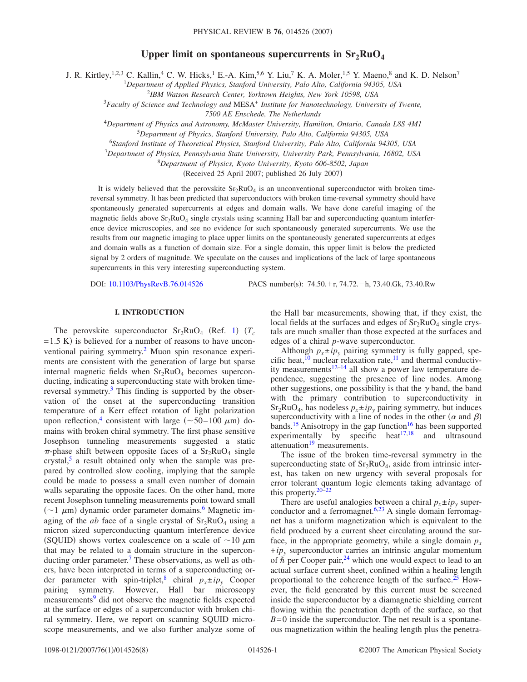# Upper limit on spontaneous supercurrents in  $Sr<sub>2</sub>RuO<sub>4</sub>$

J. R. Kirtley,<sup>1,2,3</sup> C. Kallin,<sup>4</sup> C. W. Hicks,<sup>1</sup> E.-A. Kim,<sup>5,6</sup> Y. Liu,<sup>7</sup> K. A. Moler,<sup>1,5</sup> Y. Maeno,<sup>8</sup> and K. D. Nelson<sup>7</sup>

1 *Department of Applied Physics, Stanford University, Palo Alto, California 94305, USA*

<sup>2</sup>*IBM Watson Research Center, Yorktown Heights, New York 10598, USA*

3 *Faculty of Science and Technology and* MESA+ *Institute for Nanotechnology, University of Twente,*

*7500 AE Enschede, The Netherlands*

<sup>4</sup>*Department of Physics and Astronomy, McMaster University, Hamilton, Ontario, Canada L8S 4M1*

5 *Department of Physics, Stanford University, Palo Alto, California 94305, USA*

<sup>6</sup>*Stanford Institute of Theoretical Physics, Stanford University, Palo Alto, California 94305, USA*

<sup>7</sup>*Department of Physics, Pennsylvania State University, University Park, Pennsylvania, 16802, USA*

8 *Department of Physics, Kyoto University, Kyoto 606-8502, Japan*

(Received 25 April 2007; published 26 July 2007)

It is widely believed that the perovskite  $S_T$ ,  $RuO_4$  is an unconventional superconductor with broken timereversal symmetry. It has been predicted that superconductors with broken time-reversal symmetry should have spontaneously generated supercurrents at edges and domain walls. We have done careful imaging of the magnetic fields above  $Sr_2RuO_4$  single crystals using scanning Hall bar and superconducting quantum interference device microscopies, and see no evidence for such spontaneously generated supercurrents. We use the results from our magnetic imaging to place upper limits on the spontaneously generated supercurrents at edges and domain walls as a function of domain size. For a single domain, this upper limit is below the predicted signal by 2 orders of magnitude. We speculate on the causes and implications of the lack of large spontaneous supercurrents in this very interesting superconducting system.

DOI: [10.1103/PhysRevB.76.014526](http://dx.doi.org/10.1103/PhysRevB.76.014526)

 $: 74.50 + r, 74.72 - h, 73.40 \cdot \text{Gk}, 73.40 \cdot \text{Rw}$ 

# **I. INTRODUCTION**

The perovskite superconductor  $Sr_2RuO_4$  (Ref. [1](#page-7-0))  $(T_c$  $= 1.5$  K) is believed for a number of reasons to have unconventional pairing symmetry.<sup>2</sup> Muon spin resonance experiments are consistent with the generation of large but sparse internal magnetic fields when  $Sr<sub>2</sub>RuO<sub>4</sub>$  becomes superconducting, indicating a superconducting state with broken timereversal symmetry.<sup>3</sup> This finding is supported by the observation of the onset at the superconducting transition temperature of a Kerr effect rotation of light polarization upon reflection,<sup>4</sup> consistent with large ( $\sim$ 50–100  $\mu$ m) domains with broken chiral symmetry. The first phase sensitive Josephson tunneling measurements suggested a static  $\pi$ -phase shift between opposite faces of a Sr<sub>2</sub>RuO<sub>4</sub> single crystal, $5$  a result obtained only when the sample was prepared by controlled slow cooling, implying that the sample could be made to possess a small even number of domain walls separating the opposite faces. On the other hand, more recent Josephson tunneling measurements point toward small  $(\sim 1 \mu m)$  dynamic order parameter domains.<sup>6</sup> Magnetic imaging of the *ab* face of a single crystal of  $Sr<sub>2</sub>RuO<sub>4</sub>$  using a micron sized superconducting quantum interference device (SQUID) shows vortex coalescence on a scale of  $\sim$ 10  $\mu$ m that may be related to a domain structure in the superconducting order parameter.<sup>7</sup> These observations, as well as others, have been interpreted in terms of a superconducting order parameter with spin-triplet,<sup>8</sup> chiral  $p_x \pm i p_y$  Cooper pairing symmetry. However, Hall bar microscopy measurements<sup>9</sup> did not observe the magnetic fields expected at the surface or edges of a superconductor with broken chiral symmetry. Here, we report on scanning SQUID microscope measurements, and we also further analyze some of

the Hall bar measurements, showing that, if they exist, the local fields at the surfaces and edges of  $Sr<sub>2</sub>RuO<sub>4</sub>$  single crystals are much smaller than those expected at the surfaces and edges of a chiral *p*-wave superconductor.

Although  $p_x \pm i p_y$  pairing symmetry is fully gapped, specific heat, $^{10}$  nuclear relaxation rate, $^{11}$  and thermal conductivity measurements $12-14$  $12-14$  all show a power law temperature dependence, suggesting the presence of line nodes. Among other suggestions, one possibility is that the  $\gamma$  band, the band with the primary contribution to superconductivity in  $Sr<sub>2</sub>RuO<sub>4</sub>$ , has nodeless  $p_x \pm ip_y$  pairing symmetry, but induces superconductivity with a line of nodes in the other ( $\alpha$  and  $\beta$ ) bands.<sup>15</sup> Anisotropy in the gap function<sup>16</sup> has been supported experimentally by specific heat<sup>17[,18](#page-7-16)</sup> and ultrasound attenuation $19$  measurements.

The issue of the broken time-reversal symmetry in the superconducting state of  $Sr<sub>2</sub>RuO<sub>4</sub>$ , aside from intrinsic interest, has taken on new urgency with several proposals for error tolerant quantum logic elements taking advantage of this property. $20-22$ 

There are useful analogies between a chiral  $p_x \pm i p_y$  superconductor and a ferromagnet. $6,23$  $6,23$  A single domain ferromagnet has a uniform magnetization which is equivalent to the field produced by a current sheet circulating around the surface, in the appropriate geometry, while a single domain  $p<sub>x</sub>$  $+ip_y$  superconductor carries an intrinsic angular momentum of  $\hbar$  per Cooper pair, <sup>24</sup> which one would expect to lead to an actual surface current sheet, confined within a healing length proportional to the coherence length of the surface.<sup>25</sup> However, the field generated by this current must be screened inside the superconductor by a diamagnetic shielding current flowing within the penetration depth of the surface, so that  $B=0$  inside the superconductor. The net result is a spontaneous magnetization within the healing length plus the penetra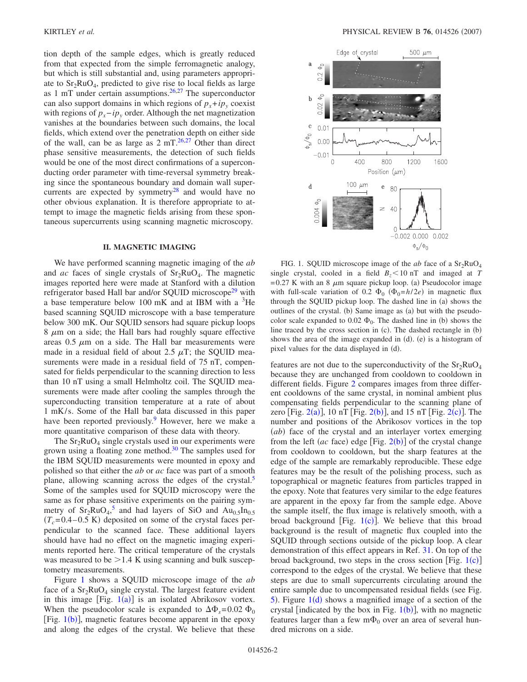tion depth of the sample edges, which is greatly reduced from that expected from the simple ferromagnetic analogy, but which is still substantial and, using parameters appropriate to  $Sr<sub>2</sub>RuO<sub>4</sub>$ , predicted to give rise to local fields as large as 1 mT under certain assumptions. $26,27$  $26,27$  The superconductor can also support domains in which regions of  $p_x + ip_y$  coexist with regions of  $p_x - ip_y$  order. Although the net magnetization vanishes at the boundaries between such domains, the local fields, which extend over the penetration depth on either side of the wall, can be as large as  $2 \text{ mT}$ .  $26.27$  $26.27$  Other than direct phase sensitive measurements, the detection of such fields would be one of the most direct confirmations of a superconducting order parameter with time-reversal symmetry breaking since the spontaneous boundary and domain wall supercurrents are expected by symmetry<sup>28</sup> and would have no other obvious explanation. It is therefore appropriate to attempt to image the magnetic fields arising from these spontaneous supercurrents using scanning magnetic microscopy.

#### **II. MAGNETIC IMAGING**

We have performed scanning magnetic imaging of the *ab* and *ac* faces of single crystals of  $Sr<sub>2</sub>RuO<sub>4</sub>$ . The magnetic images reported here were made at Stanford with a dilution refrigerator based Hall bar and/or SQUID microscope<sup>29</sup> with a base temperature below 100 mK and at IBM with a  $3$ He based scanning SQUID microscope with a base temperature below 300 mK. Our SQUID sensors had square pickup loops  $8 \mu m$  on a side; the Hall bars had roughly square effective areas  $0.5 \mu m$  on a side. The Hall bar measurements were made in a residual field of about 2.5  $\mu$ T; the SOUID measurements were made in a residual field of 75 nT, compensated for fields perpendicular to the scanning direction to less than 10 nT using a small Helmholtz coil. The SQUID measurements were made after cooling the samples through the superconducting transition temperature at a rate of about 1 mK/s. Some of the Hall bar data discussed in this paper have been reported previously.<sup>9</sup> However, here we make a more quantitative comparison of these data with theory.

The  $Sr<sub>2</sub>RuO<sub>4</sub>$  single crystals used in our experiments were grown using a floating zone method.<sup>30</sup> The samples used for the IBM SQUID measurements were mounted in epoxy and polished so that either the *ab* or *ac* face was part of a smooth plane, allowing scanning across the edges of the crystal.<sup>5</sup> Some of the samples used for SQUID microscopy were the same as for phase sensitive experiments on the pairing symmetry of  $Sr_2RuO_4$ <sup>[5](#page-7-4)</sup> and had layers of SiO and  $Au_{0.5}In_{0.5}$  $(T_c = 0.4 - 0.5 \text{ K})$  deposited on some of the crystal faces perpendicular to the scanned face. These additional layers should have had no effect on the magnetic imaging experiments reported here. The critical temperature of the crystals was measured to be  $>1.4$  K using scanning and bulk susceptometry measurements.

Figure [1](#page-1-0) shows a SQUID microscope image of the *ab* face of a  $Sr<sub>2</sub>RuO<sub>4</sub>$  single crystal. The largest feature evident in this image [Fig.  $1(a)$  $1(a)$ ] is an isolated Abrikosov vortex. When the pseudocolor scale is expanded to  $\Delta\Phi_s = 0.02 \Phi_0$ [Fig.  $1(b)$  $1(b)$ ], magnetic features become apparent in the epoxy and along the edges of the crystal. We believe that these

<span id="page-1-0"></span>

FIG. 1. SOUID microscope image of the *ab* face of a  $Sr<sub>2</sub>RuO<sub>4</sub>$ single crystal, cooled in a field  $B<sub>z</sub> < 10$  nT and imaged at *T*  $= 0.27$  K with an 8  $\mu$ m square pickup loop. (a) Pseudocolor image with full-scale variation of 0.2  $\Phi_0$  ( $\Phi_0 = h/2e$ ) in magnetic flux through the SQUID pickup loop. The dashed line in (a) shows the outlines of the crystal. (b) Same image as (a) but with the pseudocolor scale expanded to 0.02  $\Phi_0$ . The dashed line in (b) shows the line traced by the cross section in (c). The dashed rectangle in (b) shows the area of the image expanded in (d). (e) is a histogram of pixel values for the data displayed in (d).

features are not due to the superconductivity of the  $Sr<sub>2</sub>RuO<sub>4</sub>$ because they are unchanged from cooldown to cooldown in different fields. Figure [2](#page-2-0) compares images from three different cooldowns of the same crystal, in nominal ambient plus compensating fields perpendicular to the scanning plane of zero [Fig. [2](#page-2-0)(a)], 10 nT [Fig. 2(b)], and 15 nT [Fig. 2(c)]. The number and positions of the Abrikosov vortices in the top (ab) face of the crystal and an interlayer vortex emerging from the left  $(ac \text{ face})$  edge [Fig.  $2(b)$  $2(b)$ ] of the crystal change from cooldown to cooldown, but the sharp features at the edge of the sample are remarkably reproducible. These edge features may be the result of the polishing process, such as topographical or magnetic features from particles trapped in the epoxy. Note that features very similar to the edge features are apparent in the epoxy far from the sample edge. Above the sample itself, the flux image is relatively smooth, with a broad background [Fig.  $1(c)$  $1(c)$ ]. We believe that this broad background is the result of magnetic flux coupled into the SQUID through sections outside of the pickup loop. A clear demonstration of this effect appears in Ref. [31.](#page-7-28) On top of the broad background, two steps in the cross section [Fig.  $1(c)$  $1(c)$ ] correspond to the edges of the crystal. We believe that these steps are due to small supercurrents circulating around the entire sample due to uncompensated residual fields (see Fig. [5](#page-3-0)). Figure  $1(d)$  $1(d)$  shows a magnified image of a section of the crystal [indicated by the box in Fig.  $1(b)$  $1(b)$ ], with no magnetic features larger than a few  $m\Phi_0$  over an area of several hundred microns on a side.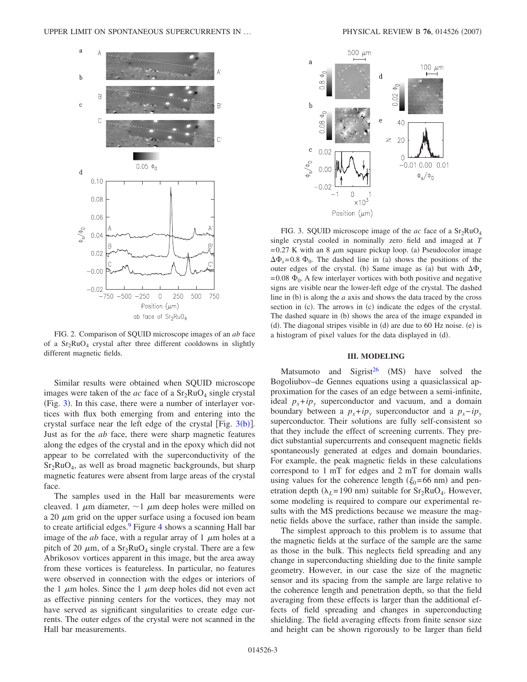<span id="page-2-0"></span>

FIG. 2. Comparison of SQUID microscope images of an *ab* face of a  $Sr<sub>2</sub>RuO<sub>4</sub>$  crystal after three different cooldowns in slightly different magnetic fields.

Similar results were obtained when SQUID microscope images were taken of the  $ac$  face of a  $Sr<sub>2</sub>RuO<sub>4</sub>$  single crystal (Fig. [3](#page-2-1)). In this case, there were a number of interlayer vortices with flux both emerging from and entering into the crystal surface near the left edge of the crystal [Fig.  $3(b)$  $3(b)$ ]. Just as for the *ab* face, there were sharp magnetic features along the edges of the crystal and in the epoxy which did not appear to be correlated with the superconductivity of the  $Sr<sub>2</sub>RuO<sub>4</sub>$ , as well as broad magnetic backgrounds, but sharp magnetic features were absent from large areas of the crystal face.

The samples used in the Hall bar measurements were cleaved. 1  $\mu$ m diameter,  $\sim$  1  $\mu$ m deep holes were milled on a 20  $\mu$ m grid on the upper surface using a focused ion beam to create artificial edges.<sup>9</sup> Figure [4](#page-3-1) shows a scanning Hall bar image of the *ab* face, with a regular array of  $1 \mu m$  holes at a pitch of 20  $\mu$ m, of a Sr<sub>2</sub>RuO<sub>4</sub> single crystal. There are a few Abrikosov vortices apparent in this image, but the area away from these vortices is featureless. In particular, no features were observed in connection with the edges or interiors of the 1  $\mu$ m holes. Since the 1  $\mu$ m deep holes did not even act as effective pinning centers for the vortices, they may not have served as significant singularities to create edge currents. The outer edges of the crystal were not scanned in the Hall bar measurements.

<span id="page-2-1"></span>

FIG. 3. SQUID microscope image of the  $ac$  face of a  $Sr<sub>2</sub>RuO<sub>4</sub>$ single crystal cooled in nominally zero field and imaged at *T*  $= 0.27$  K with an 8  $\mu$ m square pickup loop. (a) Pseudocolor image  $\Delta \Phi$ <sub>s</sub>=0.8  $\Phi$ <sub>0</sub>. The dashed line in (a) shows the positions of the outer edges of the crystal. (b) Same image as (a) but with  $\Delta \Phi_s$  $= 0.08 \Phi_0$ . A few interlayer vortices with both positive and negative signs are visible near the lower-left edge of the crystal. The dashed line in  $(b)$  is along the  $a$  axis and shows the data traced by the cross section in (c). The arrows in (c) indicate the edges of the crystal. The dashed square in (b) shows the area of the image expanded in (d). The diagonal stripes visible in (d) are due to 60 Hz noise. (e) is a histogram of pixel values for the data displayed in (d).

## **III. MODELING**

Matsumoto and Sigrist<sup>26</sup> (MS) have solved the Bogoliubov–de Gennes equations using a quasiclassical approximation for the cases of an edge between a semi-infinite, ideal  $p_x + ip_y$  superconductor and vacuum, and a domain boundary between a  $p_x + ip_y$  superconductor and a  $p_x - ip_y$ superconductor. Their solutions are fully self-consistent so that they include the effect of screening currents. They predict substantial supercurrents and consequent magnetic fields spontaneously generated at edges and domain boundaries. For example, the peak magnetic fields in these calculations correspond to 1 mT for edges and 2 mT for domain walls using values for the coherence length  $(\xi_0=66 \text{ nm})$  and penetration depth  $(\lambda_L = 190 \text{ nm})$  suitable for Sr<sub>2</sub>RuO<sub>4</sub>. However, some modeling is required to compare our experimental results with the MS predictions because we measure the magnetic fields above the surface, rather than inside the sample.

The simplest approach to this problem is to assume that the magnetic fields at the surface of the sample are the same as those in the bulk. This neglects field spreading and any change in superconducting shielding due to the finite sample geometry. However, in our case the size of the magnetic sensor and its spacing from the sample are large relative to the coherence length and penetration depth, so that the field averaging from these effects is larger than the additional effects of field spreading and changes in superconducting shielding. The field averaging effects from finite sensor size and height can be shown rigorously to be larger than field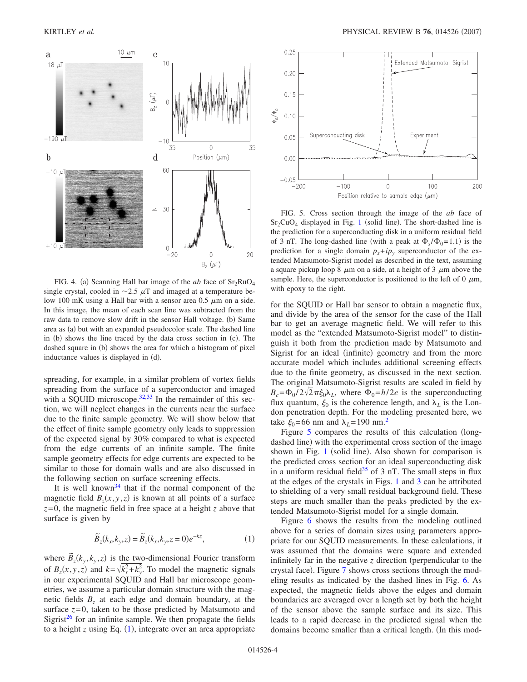<span id="page-3-1"></span>

FIG. 4. (a) Scanning Hall bar image of the  $ab$  face of  $Sr<sub>2</sub>RuO<sub>4</sub>$ single crystal, cooled in  $\sim$ 2.5  $\mu$ T and imaged at a temperature below 100 mK using a Hall bar with a sensor area 0.5  $\mu$ m on a side. In this image, the mean of each scan line was subtracted from the raw data to remove slow drift in the sensor Hall voltage. (b) Same area as (a) but with an expanded pseudocolor scale. The dashed line in (b) shows the line traced by the data cross section in (c). The dashed square in (b) shows the area for which a histogram of pixel inductance values is displayed in (d).

spreading, for example, in a similar problem of vortex fields spreading from the surface of a superconductor and imaged with a SQUID microscope.<sup>32,[33](#page-7-30)</sup> In the remainder of this section, we will neglect changes in the currents near the surface due to the finite sample geometry. We will show below that the effect of finite sample geometry only leads to suppression of the expected signal by 30% compared to what is expected from the edge currents of an infinite sample. The finite sample geometry effects for edge currents are expected to be similar to those for domain walls and are also discussed in the following section on surface screening effects.

It is well known<sup>34</sup> that if the normal component of the magnetic field  $B_z(x, y, z)$  is known at all points of a surface *z*= 0, the magnetic field in free space at a height *z* above that surface is given by

$$
\widetilde{B}_z(k_x, k_y, z) = \widetilde{B}_z(k_x, k_y, z = 0)e^{-kz},\tag{1}
$$

<span id="page-3-2"></span>where  $\tilde{B}_z(k_y, k_y, z)$  is the two-dimensional Fourier transform of  $B_z(x, y, z)$  and  $k = \sqrt{k_x^2 + k_y^2}$ . To model the magnetic signals in our experimental SQUID and Hall bar microscope geometries, we assume a particular domain structure with the magnetic fields  $B<sub>z</sub>$  at each edge and domain boundary, at the surface  $z=0$ , taken to be those predicted by Matsumoto and Sigrist<sup>[26](#page-7-23)</sup> for an infinite sample. We then propagate the fields to a height *z* using Eq. ([1](#page-3-2)), integrate over an area appropriate

<span id="page-3-0"></span>

FIG. 5. Cross section through the image of the *ab* face of  $Sr<sub>2</sub>CuO<sub>4</sub>$  displayed in Fig. [1](#page-1-0) (solid line). The short-dashed line is the prediction for a superconducting disk in a uniform residual field of 3 nT. The long-dashed line (with a peak at  $\Phi_s/\Phi_0 = 1.1$ ) is the prediction for a single domain  $p_x + ip_y$  superconductor of the extended Matsumoto-Sigrist model as described in the text, assuming a square pickup loop 8  $\mu$ m on a side, at a height of 3  $\mu$ m above the sample. Here, the superconductor is positioned to the left of 0  $\mu$ m, with epoxy to the right.

for the SQUID or Hall bar sensor to obtain a magnetic flux, and divide by the area of the sensor for the case of the Hall bar to get an average magnetic field. We will refer to this model as the "extended Matsumoto-Sigrist model" to distinguish it both from the prediction made by Matsumoto and Sigrist for an ideal (infinite) geometry and from the more accurate model which includes additional screening effects due to the finite geometry, as discussed in the next section. The original Matsumoto-Sigrist results are scaled in field by  $B_c = \Phi_0 / 2 \sqrt{2 \pi \xi_0} \lambda_L$ , where  $\Phi_0 = h/2e$  is the superconducting flux quantum,  $\xi_0$  is the coherence length, and  $\lambda_L$  is the London penetration depth. For the modeling presented here, we take  $\xi_0 = 66$  nm and  $\lambda_l = 190$  nm.<sup>2</sup>

Figure [5](#page-3-0) compares the results of this calculation (longdashed line) with the experimental cross section of the image shown in Fig. [1](#page-1-0) (solid line). Also shown for comparison is the predicted cross section for an ideal superconducting disk in a uniform residual field<sup>35</sup> of 3 nT. The small steps in flux at the edges of the crystals in Figs. [1](#page-1-0) and [3](#page-2-1) can be attributed to shielding of a very small residual background field. These steps are much smaller than the peaks predicted by the extended Matsumoto-Sigrist model for a single domain.

Figure [6](#page-4-0) shows the results from the modeling outlined above for a series of domain sizes using parameters appropriate for our SQUID measurements. In these calculations, it was assumed that the domains were square and extended infinitely far in the negative  $\zeta$  direction (perpendicular to the crystal face). Figure [7](#page-4-1) shows cross sections through the modeling results as indicated by the dashed lines in Fig. [6.](#page-4-0) As expected, the magnetic fields above the edges and domain boundaries are averaged over a length set by both the height of the sensor above the sample surface and its size. This leads to a rapid decrease in the predicted signal when the domains become smaller than a critical length. (In this mod-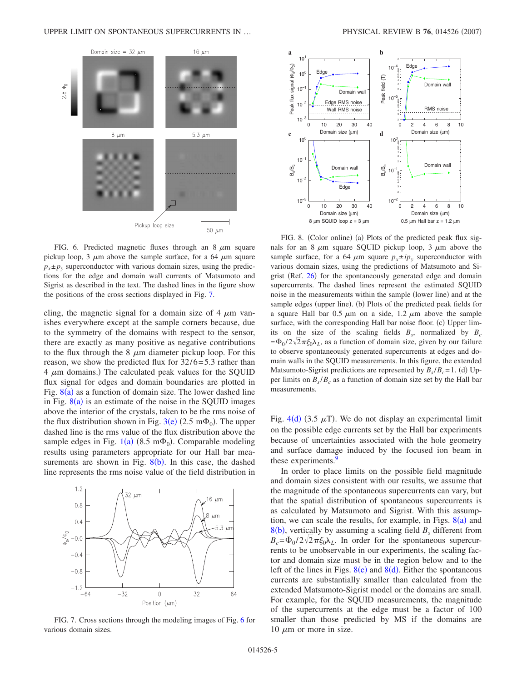<span id="page-4-0"></span>

FIG. 6. Predicted magnetic fluxes through an  $8 \mu m$  square pickup loop, 3  $\mu$ m above the sample surface, for a 64  $\mu$ m square  $p_x \pm p_y$  superconductor with various domain sizes, using the predictions for the edge and domain wall currents of Matsumoto and Sigrist as described in the text. The dashed lines in the figure show the positions of the cross sections displayed in Fig. [7.](#page-4-1)

eling, the magnetic signal for a domain size of 4  $\mu$ m vanishes everywhere except at the sample corners because, due to the symmetry of the domains with respect to the sensor, there are exactly as many positive as negative contributions to the flux through the  $8 \mu m$  diameter pickup loop. For this reason, we show the predicted flux for  $32/6 = 5.3$  rather than  $4 \mu m$  domains.) The calculated peak values for the SQUID flux signal for edges and domain boundaries are plotted in Fig.  $8(a)$  $8(a)$  as a function of domain size. The lower dashed line in Fig.  $8(a)$  $8(a)$  is an estimate of the noise in the SQUID images above the interior of the crystals, taken to be the rms noise of the flux distribution shown in Fig.  $3(e)$  $3(e)$  (2.5 m $\Phi_0$ ). The upper dashed line is the rms value of the flux distribution above the sample edges in Fig.  $1(a)$  $1(a)$  (8.5 m $\Phi_0$ ). Comparable modeling results using parameters appropriate for our Hall bar measurements are shown in Fig.  $8(b)$  $8(b)$ . In this case, the dashed line represents the rms noise value of the field distribution in

<span id="page-4-1"></span>

FIG. 7. Cross sections through the modeling images of Fig. [6](#page-4-0) for various domain sizes.

<span id="page-4-2"></span>

FIG. 8. (Color online) (a) Plots of the predicted peak flux signals for an 8  $\mu$ m square SQUID pickup loop, 3  $\mu$ m above the sample surface, for a 64  $\mu$ m square  $p_x \pm i p_y$  superconductor with various domain sizes, using the predictions of Matsumoto and Si-grist (Ref. [26](#page-7-23)) for the spontaneously generated edge and domain supercurrents. The dashed lines represent the estimated SQUID noise in the measurements within the sample (lower line) and at the sample edges (upper line). (b) Plots of the predicted peak fields for a square Hall bar 0.5  $\mu$ m on a side, 1.2  $\mu$ m above the sample surface, with the corresponding Hall bar noise floor. (c) Upper limits on the size of the scaling fields  $B_s$ , normalized by  $B_c$  $=\Phi_0 / 2\sqrt{2\pi \xi_0} \lambda_l$ , as a function of domain size, given by our failure to observe spontaneously generated supercurrents at edges and domain walls in the SQUID measurements. In this figure, the extended Matsumoto-Sigrist predictions are represented by  $B_s/B_c = 1$ . (d) Upper limits on  $B_s/B_c$  as a function of domain size set by the Hall bar measurements.

Fig. [4](#page-3-1)(d) (3.5  $\mu$ T). We do not display an experimental limit on the possible edge currents set by the Hall bar experiments because of uncertainties associated with the hole geometry and surface damage induced by the focused ion beam in these experiments.<sup>9</sup>

In order to place limits on the possible field magnitude and domain sizes consistent with our results, we assume that the magnitude of the spontaneous supercurrents can vary, but that the spatial distribution of spontaneous supercurrents is as calculated by Matsumoto and Sigrist. With this assumption, we can scale the results, for example, in Figs.  $8(a)$  $8(a)$  and  $8(b)$  $8(b)$ , vertically by assuming a scaling field  $B_s$  different from  $B_c = \Phi_0 / 2 \sqrt{2 \pi \xi_0} \lambda_L$ . In order for the spontaneous supercurrents to be unobservable in our experiments, the scaling factor and domain size must be in the region below and to the left of the lines in Figs.  $8(c)$  $8(c)$  and  $8(d)$ . Either the spontaneous currents are substantially smaller than calculated from the extended Matsumoto-Sigrist model or the domains are small. For example, for the SQUID measurements, the magnitude of the supercurrents at the edge must be a factor of 100 smaller than those predicted by MS if the domains are 10  $\mu$ m or more in size.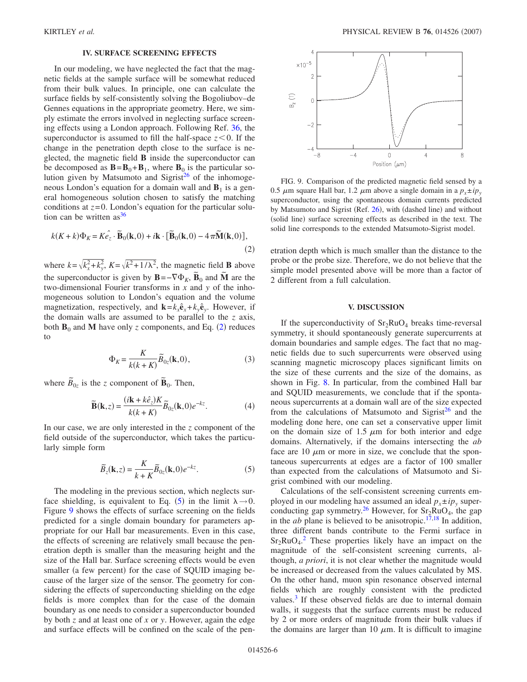## **IV. SURFACE SCREENING EFFECTS**

In our modeling, we have neglected the fact that the magnetic fields at the sample surface will be somewhat reduced from their bulk values. In principle, one can calculate the surface fields by self-consistently solving the Bogoliubov–de Gennes equations in the appropriate geometry. Here, we simply estimate the errors involved in neglecting surface screening effects using a London approach. Following Ref. [36,](#page-7-33) the superconductor is assumed to fill the half-space  $z < 0$ . If the change in the penetration depth close to the surface is neglected, the magnetic field **B** inside the superconductor can be decomposed as  $\mathbf{B} = \mathbf{B}_0 + \mathbf{B}_1$ , where  $\mathbf{B}_0$  is the particular solution given by Matsumoto and Sigrist<sup>26</sup> of the inhomogeneous London's equation for a domain wall and  $\mathbf{B}_1$  is a general homogeneous solution chosen to satisfy the matching conditions at  $z=0$ . London's equation for the particular solution can be written  $as^{36}$ 

<span id="page-5-0"></span>
$$
k(K+k)\Phi_K = K\hat{e}_z \cdot \widetilde{\mathbf{B}}_0(\mathbf{k},0) + i\mathbf{k} \cdot \left[\widetilde{\mathbf{B}}_0(\mathbf{k},0) - 4\pi \widetilde{\mathbf{M}}(\mathbf{k},0)\right],\tag{2}
$$

where  $k = \sqrt{k_x^2 + k_y^2}$ ,  $K = \sqrt{k^2 + 1/\lambda^2}$ , the magnetic field **B** above the superconductor is given by  $\mathbf{B} = -\nabla \Phi_K$ ,  $\mathbf{\tilde{B}}_0$  and  $\mathbf{\tilde{M}}$  are the two-dimensional Fourier transforms in *x* and *y* of the inhomogeneous solution to London's equation and the volume magnetization, respectively, and  $\mathbf{k} = k_x \hat{\mathbf{e}}_x + k_y \hat{\mathbf{e}}_y$ . However, if the domain walls are assumed to be parallel to the *z* axis, both  $\mathbf{B}_0$  and  $\mathbf{M}$  have only *z* components, and Eq. ([2](#page-5-0)) reduces to

$$
\Phi_K = \frac{K}{k(k+K)} \widetilde{B}_{0z}(\mathbf{k},0),\tag{3}
$$

where  $\widetilde{B}_{0z}$  is the *z* component of  $\widetilde{B}_0$ . Then,

$$
\widetilde{\mathbf{B}}(\mathbf{k},z) = \frac{(i\mathbf{k} + k\hat{e}_z)K}{k(k+K)} \widetilde{B}_{0z}(\mathbf{k},0)e^{-kz}.
$$
 (4)

In our case, we are only interested in the *z* component of the field outside of the superconductor, which takes the particularly simple form

$$
\widetilde{B}_z(\mathbf{k}, z) = \frac{K}{k + K} \widetilde{B}_{0z}(\mathbf{k}, 0) e^{-kz}.
$$
 (5)

<span id="page-5-1"></span>The modeling in the previous section, which neglects sur-face shielding, is equivalent to Eq. ([5](#page-5-1)) in the limit  $\lambda \rightarrow 0$ . Figure [9](#page-5-2) shows the effects of surface screening on the fields predicted for a single domain boundary for parameters appropriate for our Hall bar measurements. Even in this case, the effects of screening are relatively small because the penetration depth is smaller than the measuring height and the size of the Hall bar. Surface screening effects would be even smaller (a few percent) for the case of SQUID imaging because of the larger size of the sensor. The geometry for considering the effects of superconducting shielding on the edge fields is more complex than for the case of the domain boundary as one needs to consider a superconductor bounded by both *z* and at least one of *x* or *y*. However, again the edge and surface effects will be confined on the scale of the pen-

<span id="page-5-2"></span>

FIG. 9. Comparison of the predicted magnetic field sensed by a 0.5  $\mu$ m square Hall bar, 1.2  $\mu$ m above a single domain in a  $p_x \pm i p_y$ superconductor, using the spontaneous domain currents predicted by Matsumoto and Sigrist (Ref. [26](#page-7-23)), with (dashed line) and without (solid line) surface screening effects as described in the text. The solid line corresponds to the extended Matsumoto-Sigrist model.

etration depth which is much smaller than the distance to the probe or the probe size. Therefore, we do not believe that the simple model presented above will be more than a factor of 2 different from a full calculation.

### **V. DISCUSSION**

If the superconductivity of  $Sr<sub>2</sub>RuO<sub>4</sub>$  breaks time-reversal symmetry, it should spontaneously generate supercurrents at domain boundaries and sample edges. The fact that no magnetic fields due to such supercurrents were observed using scanning magnetic microscopy places significant limits on the size of these currents and the size of the domains, as shown in Fig. [8.](#page-4-2) In particular, from the combined Hall bar and SQUID measurements, we conclude that if the spontaneous supercurrents at a domain wall are of the size expected from the calculations of Matsumoto and Sigrist<sup>26</sup> and the modeling done here, one can set a conservative upper limit on the domain size of 1.5  $\mu$ m for both interior and edge domains. Alternatively, if the domains intersecting the *ab* face are 10  $\mu$ m or more in size, we conclude that the spontaneous supercurrents at edges are a factor of 100 smaller than expected from the calculations of Matsumoto and Sigrist combined with our modeling.

Calculations of the self-consistent screening currents employed in our modeling have assumed an ideal  $p_x \pm i p_y$  superconducting gap symmetry.<sup>26</sup> However, for  $Sr<sub>2</sub>RuO<sub>4</sub>$ , the gap in the *ab* plane is believed to be anisotropic.<sup>17[,18](#page-7-16)</sup> In addition, three different bands contribute to the Fermi surface in  $Sr<sub>2</sub>RuO<sub>4</sub>$  $Sr<sub>2</sub>RuO<sub>4</sub>$  $Sr<sub>2</sub>RuO<sub>4</sub>$ .<sup>2</sup> These properties likely have an impact on the magnitude of the self-consistent screening currents, although, *a priori*, it is not clear whether the magnitude would be increased or decreased from the values calculated by MS. On the other hand, muon spin resonance observed internal fields which are roughly consistent with the predicted values.<sup>3</sup> If these observed fields are due to internal domain walls, it suggests that the surface currents must be reduced by 2 or more orders of magnitude from their bulk values if the domains are larger than 10  $\mu$ m. It is difficult to imagine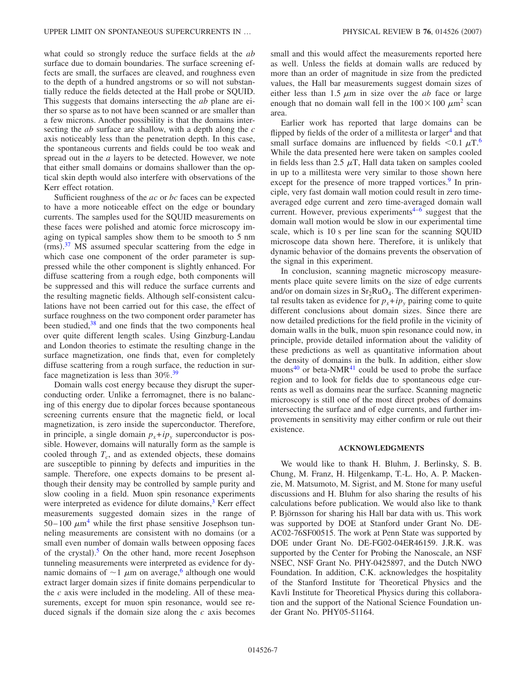what could so strongly reduce the surface fields at the *ab* surface due to domain boundaries. The surface screening effects are small, the surfaces are cleaved, and roughness even to the depth of a hundred angstroms or so will not substantially reduce the fields detected at the Hall probe or SQUID. This suggests that domains intersecting the *ab* plane are either so sparse as to not have been scanned or are smaller than a few microns. Another possibility is that the domains intersecting the *ab* surface are shallow, with a depth along the *c* axis noticeably less than the penetration depth. In this case, the spontaneous currents and fields could be too weak and spread out in the *a* layers to be detected. However, we note that either small domains or domains shallower than the optical skin depth would also interfere with observations of the Kerr effect rotation.

Sufficient roughness of the *ac* or *bc* faces can be expected to have a more noticeable effect on the edge or boundary currents. The samples used for the SQUID measurements on these faces were polished and atomic force microscopy imaging on typical samples show them to be smooth to 5 nm  $(rms).$ <sup>[37](#page-7-34)</sup> MS assumed specular scattering from the edge in which case one component of the order parameter is suppressed while the other component is slightly enhanced. For diffuse scattering from a rough edge, both components will be suppressed and this will reduce the surface currents and the resulting magnetic fields. Although self-consistent calculations have not been carried out for this case, the effect of surface roughness on the two component order parameter has been studied,<sup>38</sup> and one finds that the two components heal over quite different length scales. Using Ginzburg-Landau and London theories to estimate the resulting change in the surface magnetization, one finds that, even for completely diffuse scattering from a rough surface, the reduction in surface magnetization is less than  $30\%$ .<sup>39</sup>

Domain walls cost energy because they disrupt the superconducting order. Unlike a ferromagnet, there is no balancing of this energy due to dipolar forces because spontaneous screening currents ensure that the magnetic field, or local magnetization, is zero inside the superconductor. Therefore, in principle, a single domain  $p_x + ip_y$  superconductor is possible. However, domains will naturally form as the sample is cooled through  $T_c$ , and as extended objects, these domains are susceptible to pinning by defects and impurities in the sample. Therefore, one expects domains to be present although their density may be controlled by sample purity and slow cooling in a field. Muon spin resonance experiments were interpreted as evidence for dilute domains,<sup>3</sup> Kerr effect measurements suggested domain sizes in the range of  $50-100 \ \mu m^4$  $50-100 \ \mu m^4$  while the first phase sensitive Josephson tunneling measurements are consistent with no domains (or a small even number of domain walls between opposing faces of the crystal).<sup>[5](#page-7-4)</sup> On the other hand, more recent Josephson tunneling measurements were interpreted as evidence for dynamic domains of  $\sim$ 1  $\mu$ m on average,<sup>6</sup> although one would extract larger domain sizes if finite domains perpendicular to the *c* axis were included in the modeling. All of these measurements, except for muon spin resonance, would see reduced signals if the domain size along the *c* axis becomes small and this would affect the measurements reported here as well. Unless the fields at domain walls are reduced by more than an order of magnitude in size from the predicted values, the Hall bar measurements suggest domain sizes of either less than 1.5  $\mu$ m in size over the *ab* face or large enough that no domain wall fell in the  $100 \times 100 \ \mu m^2$  scan area.

Earlier work has reported that large domains can be flipped by fields of the order of a millitesta or larger<sup>4</sup> and that small surface domains are influenced by fields  $\leq 0.1 \mu T$ .<sup>6</sup> While the data presented here were taken on samples cooled in fields less than 2.5  $\mu$ T, Hall data taken on samples cooled in up to a millitesta were very similar to those shown here except for the presence of more trapped vortices.<sup>9</sup> In principle, very fast domain wall motion could result in zero timeaveraged edge current and zero time-averaged domain wall current. However, previous experiments $4-6$  $4-6$  suggest that the domain wall motion would be slow in our experimental time scale, which is 10 s per line scan for the scanning SQUID microscope data shown here. Therefore, it is unlikely that dynamic behavior of the domains prevents the observation of the signal in this experiment.

In conclusion, scanning magnetic microscopy measurements place quite severe limits on the size of edge currents and/or on domain sizes in  $Sr<sub>2</sub>RuO<sub>4</sub>$ . The different experimental results taken as evidence for  $p_x + ip_y$  pairing come to quite different conclusions about domain sizes. Since there are now detailed predictions for the field profile in the vicinity of domain walls in the bulk, muon spin resonance could now, in principle, provide detailed information about the validity of these predictions as well as quantitative information about the density of domains in the bulk. In addition, either slow muons $40$  or beta-NMR $41$  could be used to probe the surface region and to look for fields due to spontaneous edge currents as well as domains near the surface. Scanning magnetic microscopy is still one of the most direct probes of domains intersecting the surface and of edge currents, and further improvements in sensitivity may either confirm or rule out their existence.

### **ACKNOWLEDGMENTS**

We would like to thank H. Bluhm, J. Berlinsky, S. B. Chung, M. Franz, H. Hilgenkamp, T.-L. Ho, A. P. Mackenzie, M. Matsumoto, M. Sigrist, and M. Stone for many useful discussions and H. Bluhm for also sharing the results of his calculations before publication. We would also like to thank P. Björnsson for sharing his Hall bar data with us. This work was supported by DOE at Stanford under Grant No. DE-AC02-76SF00515. The work at Penn State was supported by DOE under Grant No. DE-FG02-04ER46159. J.R.K. was supported by the Center for Probing the Nanoscale, an NSF NSEC, NSF Grant No. PHY-0425897, and the Dutch NWO Foundation. In addition, C.K. acknowledges the hospitality of the Stanford Institute for Theoretical Physics and the Kavli Institute for Theoretical Physics during this collaboration and the support of the National Science Foundation under Grant No. PHY05-51164.